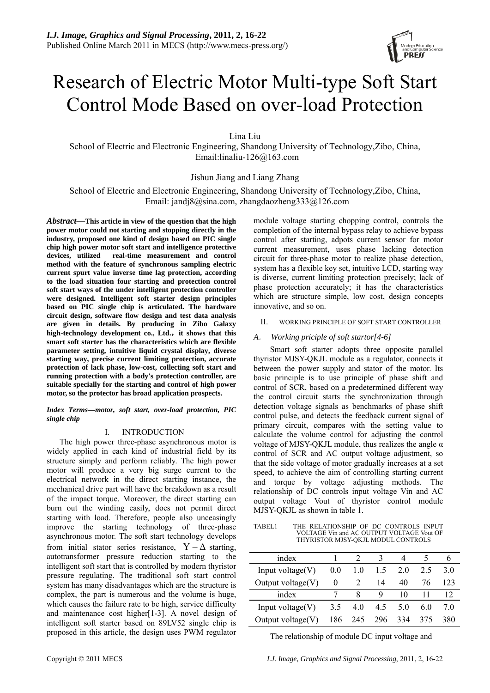

# Research of Electric Motor Multi-type Soft Start Control Mode Based on over-load Protection

Lina Liu

School of Electric and Electronic Engineering, Shandong University of Technology,Zibo, China, Email:[linaliu-126@163.com](mailto:yulanlan124@163.com) 

# Jishun Jiang and Liang Zhang

School of Electric and Electronic Engineering, Shandong University of Technology,Zibo, China, Email: [jandj8@sina.com,](mailto:jandj8@sina.com) zhangdaozheng333@126.com

*Abstract*—**This article in view of the question that the high power motor could not starting and stopping directly in the industry, proposed one kind of design based on PIC single chip high power motor soft start and intelligence protective devices, utilized real-time measurement and control method with the feature of synchronous sampling electric current spurt value inverse time lag protection, according to the load situation four starting and protection control soft start ways of the under intelligent protection controller were designed. Intelligent soft starter design principles based on PIC single chip is articulated. The hardware circuit design, software flow design and test data analysis are given in details. By producing in Zibo Galaxy high-technology development co., Ltd.**,**it shows that this smart soft starter has the characteristics which are flexible parameter setting, intuitive liquid crystal display, diverse starting way, precise current limiting protection, accurate protection of lack phase, low-cost, collecting soft start and running protection with a body's protection controller, are suitable specially for the starting and control of high power motor, so the protector has broad application prospects.** 

*Index Terms—motor, soft start, over-load protection, PIC single chip* 

## I. INTRODUCTION

 The high power three-phase asynchronous motor is widely applied in each kind of industrial field by its structure simply and perform reliably. The high power motor will produce a very big surge current to the electrical network in the direct starting instance, the mechanical drive part will have the breakdown as a result of the impact torque. Moreover, the direct starting can burn out the winding easily, does not permit direct starting with load. Therefore, people also unceasingly improve the starting technology of three-phase asynchronous motor. The soft start technology develops from initial stator series resistance,  $Y - \Delta$  starting, autotransformer pressure reduction starting to the intelligent soft start that is controlled by modern thyristor pressure regulating. The traditional soft start control system has many disadvantages which are the structure is complex, the part is numerous and the volume is huge, which causes the failure rate to be high, service difficulty and maintenance cost higher[1-3]. A novel design of intelligent soft starter based on 89LV52 single chip is proposed in this article, the design uses PWM regulator

module voltage starting chopping control, controls the completion of the internal bypass relay to achieve bypass control after starting, adpots current sensor for motor current measurement, uses phase lacking detection circuit for three-phase motor to realize phase detection, system has a flexible key set, intuitive LCD, starting way is diverse, current limiting protection precisely; lack of phase protection accurately; it has the characteristics which are structure simple, low cost, design concepts innovative, and so on.

# II. WORKING PRINCIPLE OF SOFT START CONTROLLER

# *A*. *Working priciple of soft startor[4-6]*

Smart soft starter adopts three opposite parallel thyristor MJSY-QKJL module as a regulator, connects it between the power supply and stator of the motor. Its basic principle is to use principle of phase shift and control of SCR, based on a predetermined different way the control circuit starts the synchronization through detection voltage signals as benchmarks of phase shift control pulse, and detects the feedback current signal of primary circuit, compares with the setting value to calculate the volume control for adjusting the control voltage of MJSY-QKJL module, thus realizes the angle α control of SCR and AC output voltage adjustment, so that the side voltage of motor gradually increases at a set speed, to achieve the aim of controlling starting current and torque by voltage adjusting methods. The relationship of DC controls input voltage Vin and AC output voltage Vout of thyristor control module MJSY-QKJL as shown in table 1.

TABEL1 THE RELATIONSHIP OF DC CONTROLS INPUT VOLTAGE Vin and AC OUTPUT VOLTAGE Vout OF THYRISTOR MJSY-QKJL MODUL CONTROLS

| index                |     |               |     |     |     |     |
|----------------------|-----|---------------|-----|-----|-----|-----|
| Input voltage $(V)$  | 0.0 | 1.0           | 15  | 2.0 | 2.5 | 30  |
| Output voltage $(V)$ | 0   | $\mathcal{L}$ | 14  | 40  | 76  | 123 |
| index                |     |               | Q   | 10  |     |     |
| Input voltage $(V)$  | 35  | 40            | 45  | 5.0 | 60  | 70  |
| Output voltage $(V)$ | 186 | 245           | 296 | 334 | 375 | 380 |

The relationship of module DC input voltage and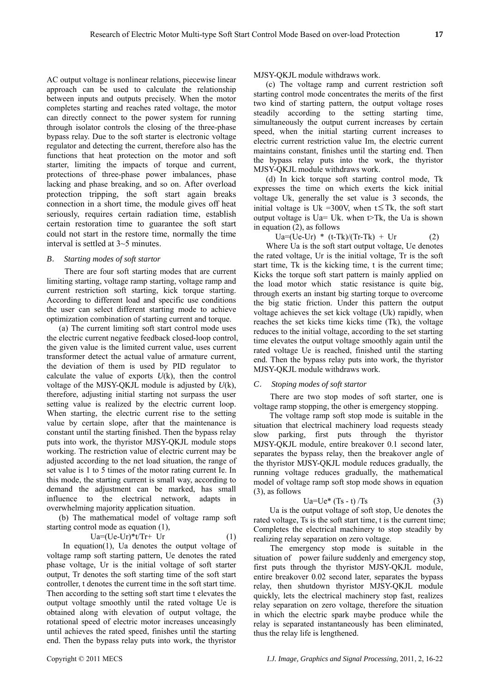AC output voltage is nonlinear relations, piecewise linear approach can be used to calculate the relationship between inputs and outputs precisely. When the motor completes starting and reaches rated voltage, the motor can directly connect to the power system for running through isolator controls the closing of the three-phase bypass relay. Due to the soft starter is electronic voltage regulator and detecting the current, therefore also has the functions that heat protection on the motor and soft starter, limiting the impacts of torque and current, protections of three-phase power imbalances, phase lacking and phase breaking, and so on. After overload protection tripping, the soft start again breaks connection in a short time, the module gives off heat seriously, requires certain radiation time, establish certain restoration time to guarantee the soft start could not start in the restore time, normally the time interval is settled at 3~5 minutes.

#### *B*. *Starting modes of soft startor*

There are four soft starting modes that are current limiting starting, voltage ramp starting, voltage ramp and current restriction soft starting, kick torque starting. According to different load and specific use conditions the user can select different starting mode to achieve optimization combination of starting current and torque.

(a) The current limiting soft start control mode uses the electric current negative feedback closed-loop control, the given value is the limited current value, uses current transformer detect the actual value of armature current, the deviation of them is used by PID regulator to calculate the value of exports *U*(k), then the control voltage of the MJSY-QKJL module is adjusted by *U*(k), therefore, adjusting initial starting not surpass the user setting value is realized by the electric current loop. When starting, the electric current rise to the setting value by certain slope, after that the maintenance is constant until the starting finished. Then the bypass relay puts into work, the thyristor MJSY-QKJL module stops working. The restriction value of electric current may be adjusted according to the net load situation, the range of set value is 1 to 5 times of the motor rating current Ie. In this mode, the starting current is small way, according to demand the adjustment can be marked, has small influence to the electrical network, adapts in overwhelming majority application situation.

(b) The mathematical model of voltage ramp soft starting control mode as equation (1),

$$
Ua = (Ue - Ur)^*t/Tr + Ur \tag{1}
$$

In equation(1), Ua denotes the output voltage of voltage ramp soft starting pattern, Ue denotes the rated phase voltage, Ur is the initial voltage of soft starter output, Tr denotes the soft starting time of the soft start controller, t denotes the current time in the soft start time. Then according to the setting soft start time t elevates the output voltage smoothly until the rated voltage Ue is obtained along with elevation of output voltage, the rotational speed of electric motor increases unceasingly until achieves the rated speed, finishes until the starting end. Then the bypass relay puts into work, the thyristor

MJSY-QKJL module withdraws work.

(c) The voltage ramp and current restriction soft starting control mode concentrates the merits of the first two kind of starting pattern, the output voltage roses steadily according to the setting starting time, simultaneously the output current increases by certain speed, when the initial starting current increases to electric current restriction value Im, the electric current maintains constant, finishes until the starting end. Then the bypass relay puts into the work, the thyristor MJSY-QKJL module withdraws work.

(d) In kick torque soft starting control mode, Tk expresses the time on which exerts the kick initial voltage Uk, generally the set value is 3 seconds, the initial voltage is Uk =300V, when  $t \leq Tk$ , the soft start output voltage is Ua= Uk. when  $\triangleright$ Tk, the Ua is shown in equation (2), as follows

 $Ua=(Ue-Ur) * (t-Tk)/(Tr-Tk) + Ur$  (2)

Where Ua is the soft start output voltage, Ue denotes the rated voltage, Ur is the initial voltage, Tr is the soft start time, Tk is the kicking time, t is the current time; Kicks the torque soft start pattern is mainly applied on the load motor which static resistance is quite big, through exerts an instant big starting torque to overcome the big static friction. Under this pattern the output voltage achieves the set kick voltage (Uk) rapidly, when reaches the set kicks time kicks time (Tk), the voltage reduces to the initial voltage, according to the set starting time elevates the output voltage smoothly again until the rated voltage Ue is reached, finished until the starting end. Then the bypass relay puts into work, the thyristor MJSY-QKJL module withdraws work.

## *C*. *Stoping modes of soft startor*

 There are two stop modes of soft starter, one is voltage ramp stopping, the other is emergency stopping.

The voltage ramp soft stop mode is suitable in the situation that electrical machinery load requests steady slow parking, first puts through the thyristor MJSY-QKJL module, entire breakover 0.1 second later, separates the bypass relay, then the breakover angle of the thyristor MJSY-QKJL module reduces gradually, the running voltage reduces gradually, the mathematical model of voltage ramp soft stop mode shows in equation (3), as follows

$$
Ua=Ue^*(Ts-t)/Ts
$$
 (3)

Ua is the output voltage of soft stop, Ue denotes the rated voltage, Ts is the soft start time, t is the current time; Completes the electrical machinery to stop steadily by realizing relay separation on zero voltage.

The emergency stop mode is suitable in the situation of power failure suddenly and emergency stop, first puts through the thyristor MJSY-QKJL module, entire breakover 0.02 second later, separates the bypass relay, then shutdown thyristor MJSY-QKJL module quickly, lets the electrical machinery stop fast, realizes relay separation on zero voltage, therefore the situation in which the electric spark maybe produce while the relay is separated instantaneously has been eliminated, thus the relay life is lengthened.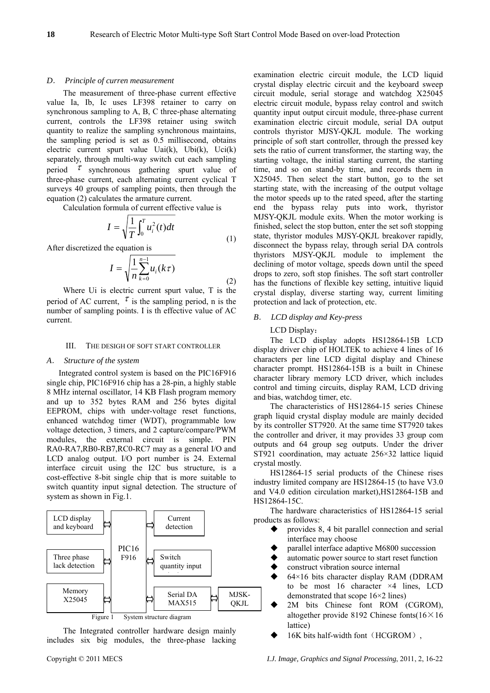#### *D*. *Principle of curren measurement*

The measurement of three-phase current effective value Ia, Ib, Ic uses LF398 retainer to carry on synchronous sampling to A, B, C three-phase alternating current, controls the LF398 retainer using switch quantity to realize the sampling synchronous maintains, the sampling period is set as 0.5 millisecond, obtains electric current spurt value  $Uai(k)$ ,  $Ubi(k)$ ,  $Uci(k)$ separately, through multi-way switch cut each sampling period  $\tau$  synchronous gathering spurt value of three-phase current, each alternating current cyclical T surveys 40 groups of sampling points, then through the equation (2) calculates the armature current.

Calculation formula of current effective value is

$$
I = \sqrt{\frac{1}{T} \int_0^T u_i^2(t) dt}
$$
 (1)

After discretized the equation is

$$
I = \sqrt{\frac{1}{n} \sum_{k=0}^{n-1} u_i(k\tau)}
$$
\n(2)

Where Ui is electric current spurt value, T is the period of AC current,  $\tau$  is the sampling period, n is the number of sampling points. I is th effective value of AC current.

#### III. THE DESIGH OF SOFT START CONTROLLER

# *A*. *Structure of the system*

Integrated control system is based on the PIC16F916 single chip, PIC16F916 chip has a 28-pin, a highly stable 8 MHz internal oscillator, 14 KB Flash program memory and up to 352 bytes RAM and 256 bytes digital EEPROM, chips with under-voltage reset functions, enhanced watchdog timer (WDT), programmable low voltage detection, 3 timers, and 2 capture/compare/PWM modules, the external circuit is simple. PIN RA0-RA7,RB0-RB7,RC0-RC7 may as a general I/O and LCD analog output. I/O port number is 24. External interface circuit using the I2C bus structure, is a cost-effective 8-bit single chip that is more suitable to switch quantity input signal detection. The structure of system as shown in Fig.1.



The Integrated controller hardware design mainly includes six big modules, the three-phase lacking examination electric circuit module, the LCD liquid crystal display electric circuit and the keyboard sweep circuit module, serial storage and watchdog X25045 electric circuit module, bypass relay control and switch quantity input output circuit module, three-phase current examination electric circuit module, serial DA output controls thyristor MJSY-QKJL module. The working principle of soft start controller, through the pressed key sets the ratio of current transformer, the starting way, the starting voltage, the initial starting current, the starting time, and so on stand-by time, and records them in X25045. Then select the start button, go to the set starting state, with the increasing of the output voltage the motor speeds up to the rated speed, after the starting end the bypass relay puts into work, thyristor MJSY-QKJL module exits. When the motor working is finished, select the stop button, enter the set soft stopping state, thyristor modules MJSY-QKJL breakover rapidly, disconnect the bypass relay, through serial DA controls thyristors MJSY-QKJL module to implement the declining of motor voltage, speeds down until the speed drops to zero, soft stop finishes. The soft start controller has the functions of flexible key setting, intuitive liquid crystal display, diverse starting way, current limiting protection and lack of protection, etc.

#### *B*. *LCD display and Key-press*

#### LCD Display:

The LCD display adopts HS12864-15B LCD display driver chip of HOLTEK to achieve 4 lines of 16 characters per line LCD digital display and Chinese character prompt. HS12864-15B is a built in Chinese character library memory LCD driver, which includes control and timing circuits, display RAM, LCD driving and bias, watchdog timer, etc.

The characteristics of HS12864-15 series Chinese graph liquid crystal display module are mainly decided by its controller ST7920. At the same time ST7920 takes the controller and driver, it may provides 33 group com outputs and 64 group seg outputs. Under the driver ST921 coordination, may actuate 256×32 lattice liquid crystal mostly.

HS12864-15 serial products of the Chinese rises industry limited company are HS12864-15 (to have V3.0 and V4.0 edition circulation market),HS12864-15B and HS12864-15C.

The hardware characteristics of HS12864-15 serial products as follows:

- provides 8, 4 bit parallel connection and serial interface may choose
- parallel interface adaptive M6800 succession
- automatic power source to start reset function
- construct vibration source internal
- 64×16 bits character display RAM (DDRAM to be most 16 character ×4 lines, LCD demonstrated that scope 16×2 lines)
- 2M bits Chinese font ROM (CGROM), altogether provide 8192 Chinese fonts(16×16 lattice)
- 16K bits half-width font (HCGROM),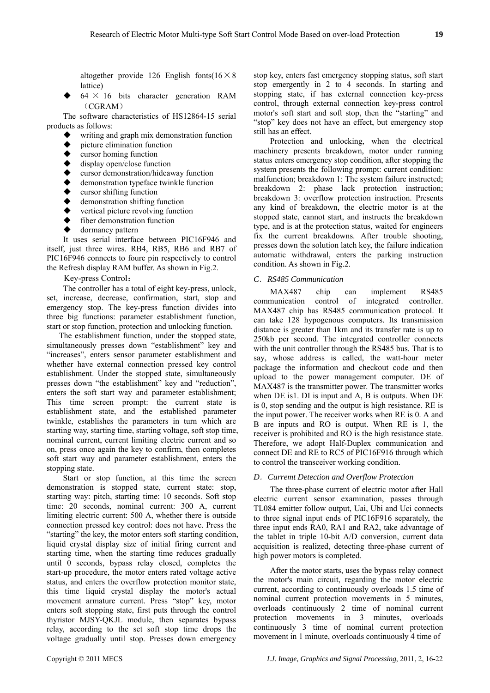altogether provide 126 English fonts( $16 \times 8$ lattice)

 $64 \times 16$  bits character generation RAM  $(CGRAM)$ 

The software characteristics of HS12864-15 serial products as follows:

- writing and graph mix demonstration function
- $\bullet$  picture elimination function<br> $\bullet$  cursor homing function
- cursor homing function
- display open/close function
- cursor demonstration/hideaway function
- demonstration typeface twinkle function
- cursor shifting function
- demonstration shifting function
- vertical picture revolving function
- fiber demonstration function
- dormancy pattern

It uses serial interface between PIC16F946 and itself, just three wires. RB4, RB5, RB6 and RB7 of PIC16F946 connects to foure pin respectively to control the Refresh display RAM buffer. As shown in Fig.2.

Key-press Control:

The controller has a total of eight key-press, unlock, set, increase, decrease, confirmation, start, stop and emergency stop. The key-press function divides into three big functions: parameter establishment function, start or stop function, protection and unlocking function.

 The establishment function, under the stopped state, simultaneously presses down "establishment" key and "increases", enters sensor parameter establishment and whether have external connection pressed key control establishment. Under the stopped state, simultaneously presses down "the establishment" key and "reduction", enters the soft start way and parameter establishment; This time screen prompt: the current state is establishment state, and the established parameter twinkle, establishes the parameters in turn which are starting way, starting time, starting voltage, soft stop time, nominal current, current limiting electric current and so on, press once again the key to confirm, then completes soft start way and parameter establishment, enters the stopping state.

 Start or stop function, at this time the screen demonstration is stopped state, current state: stop, starting way: pitch, starting time: 10 seconds. Soft stop time: 20 seconds, nominal current: 300 A, current limiting electric current: 500 A, whether there is outside connection pressed key control: does not have. Press the "starting" the key, the motor enters soft starting condition, liquid crystal display size of initial firing current and starting time, when the starting time reduces gradually until 0 seconds, bypass relay closed, completes the start-up procedure, the motor enters rated voltage active status, and enters the overflow protection monitor state, this time liquid crystal display the motor's actual movement armature current. Press "stop" key, motor enters soft stopping state, first puts through the control thyristor MJSY-QKJL module, then separates bypass relay, according to the set soft stop time drops the voltage gradually until stop. Presses down emergency

stop key, enters fast emergency stopping status, soft start stop emergently in 2 to 4 seconds. In starting and stopping state, if has external connection key-press control, through external connection key-press control motor's soft start and soft stop, then the "starting" and "stop" key does not have an effect, but emergency stop still has an effect.

 Protection and unlocking, when the electrical machinery presents breakdown, motor under running status enters emergency stop condition, after stopping the system presents the following prompt: current condition: malfunction; breakdown 1: The system failure instructed; breakdown 2: phase lack protection instruction; breakdown 3: overflow protection instruction. Presents any kind of breakdown, the electric motor is at the stopped state, cannot start, and instructs the breakdown type, and is at the protection status, waited for engineers fix the current breakdowns. After trouble shooting, presses down the solution latch key, the failure indication automatic withdrawal, enters the parking instruction condition. As shown in Fig.2.

# *C*.*RS485 Communication*

MAX487 chip can implement RS485 communication control of integrated controller. MAX487 chip has RS485 communication protocol. It can take 128 hypogenous computers. Its transmission distance is greater than 1km and its transfer rate is up to 250kb per second. The integrated controller connects with the unit controller through the RS485 bus. That is to say, whose address is called, the watt-hour meter package the information and checkout code and then upload to the power management computer. DE of MAX487 is the transmitter power. The transmitter works when DE is1. DI is input and A, B is outputs. When DE is 0, stop sending and the output is high resistance. RE is the input power. The receiver works when RE is 0. A and B are inputs and RO is output. When RE is 1, the receiver is prohibited and RO is the high resistance state. Therefore, we adopt Half-Duplex communication and connect DE and RE to RC5 of PIC16F916 through which to control the transceiver working condition.

## *D*.*Curremt Detection and Overflow Protection*

The three-phase current of electric motor after Hall electric current sensor examination, passes through TL084 emitter follow output, Uai, Ubi and Uci connects to three signal input ends of PIC16F916 separately, the three input ends RA0, RA1 and RA2, take advantage of the tablet in triple 10-bit A/D conversion, current data acquisition is realized, detecting three-phase current of high power motors is completed.

After the motor starts, uses the bypass relay connect the motor's main circuit, regarding the motor electric current, according to continuously overloads 1.5 time of nominal current protection movements in 5 minutes, overloads continuously 2 time of nominal current protection movements in 3 minutes, overloads continuously 3 time of nominal current protection movement in 1 minute, overloads continuously 4 time of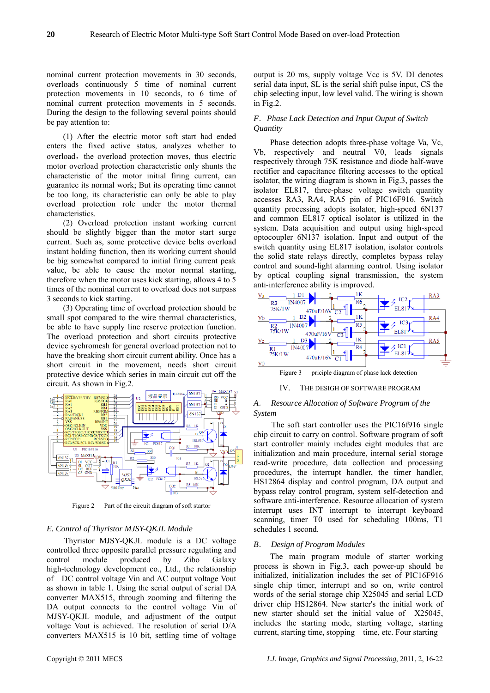nominal current protection movements in 30 seconds, overloads continuously 5 time of nominal current protection movements in 10 seconds, to 6 time of nominal current protection movements in 5 seconds. During the design to the following several points should be pay attention to:

(1) After the electric motor soft start had ended enters the fixed active status, analyzes whether to overload, the overload protection moves, thus electric motor overload protection characteristic only shunts the characteristic of the motor initial firing current, can guarantee its normal work; But its operating time cannot be too long, its characteristic can only be able to play overload protection role under the motor thermal characteristics.

(2) Overload protection instant working current should be slightly bigger than the motor start surge current. Such as, some protective device belts overload instant holding function, then its working current should be big somewhat compared to initial firing current peak value, be able to cause the motor normal starting, therefore when the motor uses kick starting, allows 4 to 5 times of the nominal current to overload does not surpass 3 seconds to kick starting.

(3) Operating time of overload protection should be small spot compared to the wire thermal characteristics, be able to have supply line reserve protection function. The overload protection and short circuits protective device sychromesh for general overload protection not to have the breaking short circuit current ability. Once has a short circuit in the movement, needs short circuit protective device which series in main circuit cut off the circuit. As shown in Fig.2.



Figure 2 Part of the circuit diagram of soft startor

## *E. Control of Thyristor MJSY-QKJL Module*

 Thyristor MJSY-QKJL module is a DC voltage controlled three opposite parallel pressure regulating and control module produced by Zibo Galaxy high-technology development co., Ltd., the relationship of DC control voltage Vin and AC output voltage Vout as shown in table 1. Using the serial output of serial DA converter MAX515, through zooming and filtering the DA output connects to the control voltage Vin of MJSY-QKJL module, and adjustment of the output voltage Vout is achieved. The resolution of serial D/A converters MAX515 is 10 bit, settling time of voltage

output is 20 ms, supply voltage Vcc is 5V. DI denotes serial data input, SL is the serial shift pulse input, CS the chip selecting input, low level valid. The wiring is shown in Fig.2.

## *F*.*Phase Lack Detection and Input Ouput of Switch Quantity*

Phase detection adopts three-phase voltage Va, Vc, Vb, respectively and neutral V0, leads signals respectively through 75K resistance and diode half-wave rectifier and capacitance filtering accesses to the optical isolator, the wiring diagram is shown in Fig.3, passes the isolator EL817, three-phase voltage switch quantity accesses RA3, RA4, RA5 pin of PIC16F916. Switch quantity processing adopts isolator, high-speed 6N137 and common EL817 optical isolator is utilized in the system. Data acquisition and output using high-speed optocoupler 6N137 isolation. Input and output of the switch quantity using EL817 isolation, isolator controls the solid state relays directly, completes bypass relay control and sound-light alarming control. Using isolator by optical coupling signal transmission, the system anti-interference ability is improved.



## *A*. *Resource Allocation of Software Program of the System*

The soft start controller uses the PIC16f916 single chip circuit to carry on control. Software program of soft start controller mainly includes eight modules that are initialization and main procedure, internal serial storage read-write procedure, data collection and processing procedures, the interrupt handler, the timer handler, HS12864 display and control program, DA output and bypass relay control program, system self-detection and software anti-interference. Resource allocation of system interrupt uses INT interrupt to interrupt keyboard scanning, timer T0 used for scheduling 100ms, T1 schedules 1 second.

#### *B*. *Design of Program Modules*

The main program module of starter working process is shown in Fig.3, each power-up should be initialized, initialization includes the set of PIC16F916 single chip timer, interrupt and so on, write control words of the serial storage chip X25045 and serial LCD driver chip HS12864. New starter's the initial work of new starter should set the initial value of X25045, includes the starting mode, starting voltage, starting current, starting time, stopping time, etc. Four starting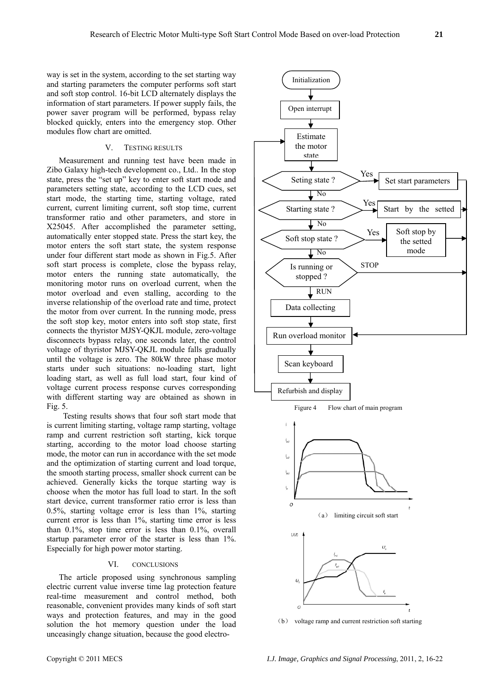way is set in the system, according to the set starting way and starting parameters the computer performs soft start and soft stop control. 16-bit LCD alternately displays the information of start parameters. If power supply fails, the power saver program will be performed, bypass relay blocked quickly, enters into the emergency stop. Other modules flow chart are omitted.

# V. TESTING RESULTS

Measurement and running test have been made in Zibo Galaxy high-tech development co., Ltd.. In the stop state, press the "set up" key to enter soft start mode and parameters setting state, according to the LCD cues, set start mode, the starting time, starting voltage, rated current, current limiting current, soft stop time, current transformer ratio and other parameters, and store in X25045. After accomplished the parameter setting, automatically enter stopped state. Press the start key, the motor enters the soft start state, the system response under four different start mode as shown in Fig.5. After soft start process is complete, close the bypass relay, motor enters the running state automatically, the monitoring motor runs on overload current, when the motor overload and even stalling, according to the inverse relationship of the overload rate and time, protect the motor from over current. In the running mode, press the soft stop key, motor enters into soft stop state, first connects the thyristor MJSY-QKJL module, zero-voltage disconnects bypass relay, one seconds later, the control voltage of thyristor MJSY-QKJL module falls gradually until the voltage is zero. The 80kW three phase motor starts under such situations: no-loading start, light loading start, as well as full load start, four kind of voltage current process response curves corresponding with different starting way are obtained as shown in Fig. 5.

Testing results shows that four soft start mode that is current limiting starting, voltage ramp starting, voltage ramp and current restriction soft starting, kick torque starting, according to the motor load choose starting mode, the motor can run in accordance with the set mode and the optimization of starting current and load torque, the smooth starting process, smaller shock current can be achieved. Generally kicks the torque starting way is choose when the motor has full load to start. In the soft start device, current transformer ratio error is less than 0.5%, starting voltage error is less than 1%, starting current error is less than 1%, starting time error is less than 0.1%, stop time error is less than 0.1%, overall startup parameter error of the starter is less than 1%. Especially for high power motor starting.

#### VI. CONCLUSIONS

The article proposed using synchronous sampling electric current value inverse time lag protection feature real-time measurement and control method, both reasonable, convenient provides many kinds of soft start ways and protection features, and may in the good solution the hot memory question under the load unceasingly change situation, because the good electro-



(b) voltage ramp and current restriction soft starting